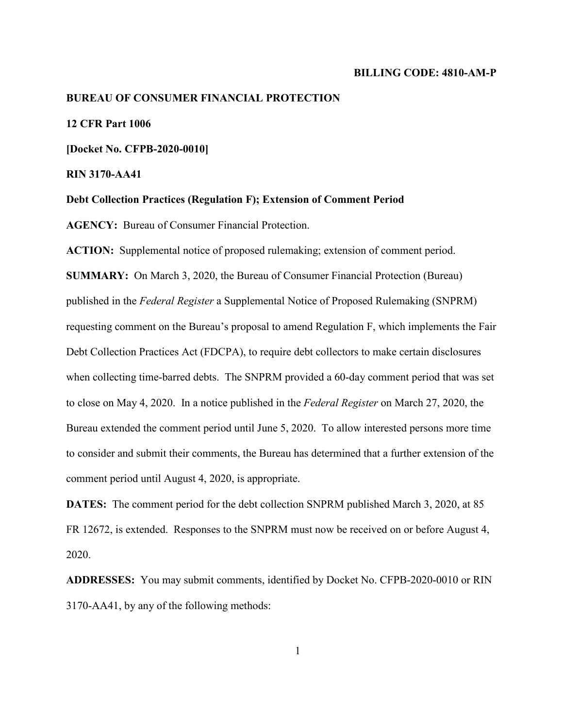### **BILLING CODE: 4810-AM-P**

### **BUREAU OF CONSUMER FINANCIAL PROTECTION**

## **12 CFR Part 1006**

**[Docket No. CFPB-2020-0010]** 

**RIN 3170-AA41** 

**Debt Collection Practices (Regulation F); Extension of Comment Period** 

 **AGENCY:** Bureau of Consumer Financial Protection.

 **ACTION:** Supplemental notice of proposed rulemaking; extension of comment period.

 published in the *Federal Register* a Supplemental Notice of Proposed Rulemaking (SNPRM) requesting comment on the Bureau's proposal to amend Regulation F, which implements the Fair when collecting time-barred debts. The SNPRM provided a 60-day comment period that was set to close on May 4, 2020. In a notice published in the *Federal Register* on March 27, 2020, the Bureau extended the comment period until June 5, 2020. To allow interested persons more time to consider and submit their comments, the Bureau has determined that a further extension of the comment period until August 4, 2020, is appropriate. **SUMMARY:** On March 3, 2020, the Bureau of Consumer Financial Protection (Bureau) Debt Collection Practices Act (FDCPA), to require debt collectors to make certain disclosures

 FR 12672, is extended. Responses to the SNPRM must now be received on or before August 4, **DATES:** The comment period for the debt collection SNPRM published March 3, 2020, at 85 2020.

 **ADDRESSES:** You may submit comments, identified by Docket No. CFPB-2020-0010 or RIN 3170-AA41, by any of the following methods: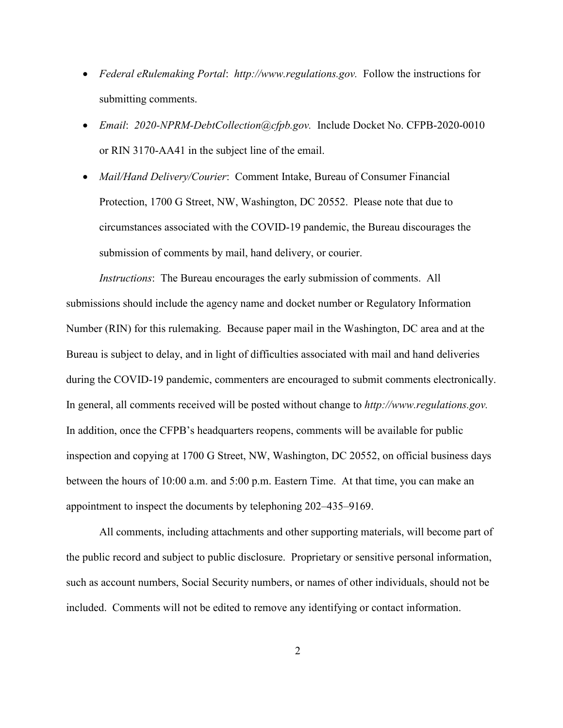- • *Federal eRulemaking Portal*: *<http://www.regulations.gov>.* Follow the instructions for submitting comments.
- • *Email*: *[2020-NPRM-DebtCollection@cfpb.gov](mailto:2020-NPRM-DebtCollection@cfpb.gov).* Include Docket No. CFPB-2020-0010 or RIN 3170-AA41 in the subject line of the email.
- Protection, 1700 G Street, NW, Washington, DC 20552. Please note that due to • *Mail/Hand Delivery/Courier*: Comment Intake, Bureau of Consumer Financial circumstances associated with the COVID-19 pandemic, the Bureau discourages the submission of comments by mail, hand delivery, or courier.

 Number (RIN) for this rulemaking. Because paper mail in the Washington, DC area and at the during the COVID-19 pandemic, commenters are encouraged to submit comments electronically. during the COVID-19 pandemic, commenters are encouraged to submit comments electronically.<br>In general, all comments received will be posted without change to *http://www.regulations.gov*. *Instructions*: The Bureau encourages the early submission of comments. All submissions should include the agency name and docket number or Regulatory Information Bureau is subject to delay, and in light of difficulties associated with mail and hand deliveries In addition, once the CFPB's headquarters reopens, comments will be available for public inspection and copying at 1700 G Street, NW, Washington, DC 20552, on official business days between the hours of 10:00 a.m. and 5:00 p.m. Eastern Time. At that time, you can make an appointment to inspect the documents by telephoning 202–435–9169.

All comments, including attachments and other supporting materials, will become part of the public record and subject to public disclosure. Proprietary or sensitive personal information, such as account numbers, Social Security numbers, or names of other individuals, should not be included. Comments will not be edited to remove any identifying or contact information.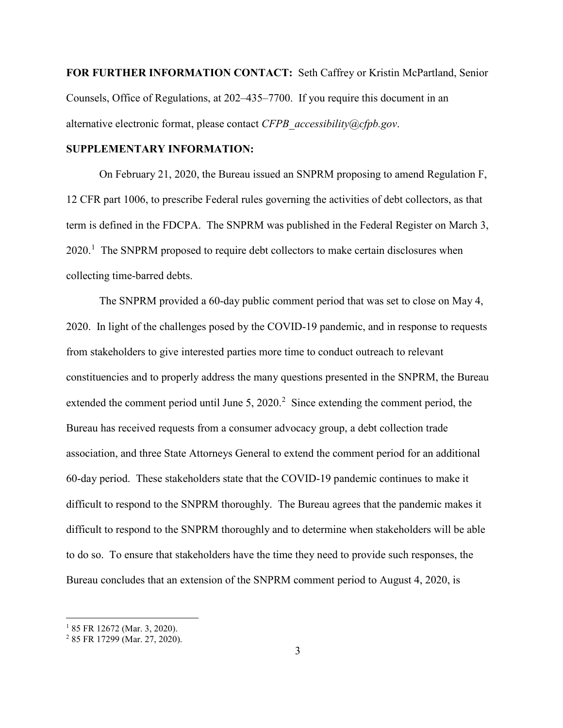**FOR FURTHER INFORMATION CONTACT:** Seth Caffrey or Kristin McPartland, Senior Counsels, Office of Regulations, at 202–435–7700. If you require this document in an alternative electronic format, please contact *[CFPB\\_accessibility@cfpb.gov](mailto:CFPB_accessibility@cfpb.gov)*.

## **SUPPLEMENTARY INFORMATION:**

 term is defined in the FDCPA. The SNPRM was published in the Federal Register on March 3,  $2020$ .<sup>1</sup> The SNPRM proposed to require debt collectors to make certain disclosures when On February 21, 2020, the Bureau issued an SNPRM proposing to amend Regulation F, 12 CFR part 1006, to prescribe Federal rules governing the activities of debt collectors, as that collecting time-barred debts.

 2020. In light of the challenges posed by the COVID-19 pandemic, and in response to requests extended the comment period until June 5, 2020. $^2$  Since extending the comment period, the 60-day period. These stakeholders state that the COVID-19 pandemic continues to make it difficult to respond to the SNPRM thoroughly. The Bureau agrees that the pandemic makes it The SNPRM provided a 60-day public comment period that was set to close on May 4, from stakeholders to give interested parties more time to conduct outreach to relevant constituencies and to properly address the many questions presented in the SNPRM, the Bureau Bureau has received requests from a consumer advocacy group, a debt collection trade association, and three State Attorneys General to extend the comment period for an additional difficult to respond to the SNPRM thoroughly and to determine when stakeholders will be able to do so. To ensure that stakeholders have the time they need to provide such responses, the Bureau concludes that an extension of the SNPRM comment period to August 4, 2020, is

 $\overline{a}$ 

<span id="page-2-0"></span><sup>&</sup>lt;sup>1</sup> 85 FR 12672 (Mar. 3, 2020).<br><sup>2</sup> 85 FR 17299 (Mar. 27, 2020).

<span id="page-2-1"></span>